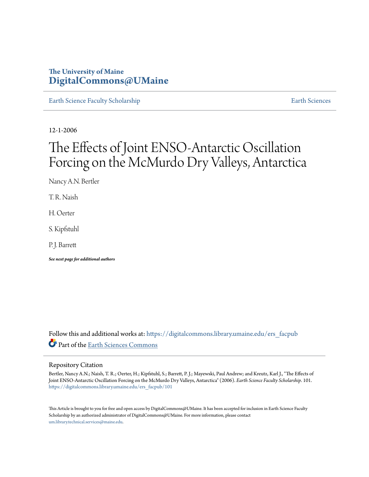# **The University of Maine [DigitalCommons@UMaine](https://digitalcommons.library.umaine.edu?utm_source=digitalcommons.library.umaine.edu%2Fers_facpub%2F101&utm_medium=PDF&utm_campaign=PDFCoverPages)**

[Earth Science Faculty Scholarship](https://digitalcommons.library.umaine.edu/ers_facpub?utm_source=digitalcommons.library.umaine.edu%2Fers_facpub%2F101&utm_medium=PDF&utm_campaign=PDFCoverPages) **[Earth Sciences](https://digitalcommons.library.umaine.edu/ers?utm_source=digitalcommons.library.umaine.edu%2Fers_facpub%2F101&utm_medium=PDF&utm_campaign=PDFCoverPages)** 

12-1-2006

# The Effects of Joint ENSO-Antarctic Oscillation Forcing on the McMurdo Dry Valleys, Antarctica

Nancy A.N. Bertler

T. R. Naish

H. Oerter

S. Kipfstuhl

P. J. Barrett

*See next page for additional authors*

Follow this and additional works at: [https://digitalcommons.library.umaine.edu/ers\\_facpub](https://digitalcommons.library.umaine.edu/ers_facpub?utm_source=digitalcommons.library.umaine.edu%2Fers_facpub%2F101&utm_medium=PDF&utm_campaign=PDFCoverPages) Part of the [Earth Sciences Commons](http://network.bepress.com/hgg/discipline/153?utm_source=digitalcommons.library.umaine.edu%2Fers_facpub%2F101&utm_medium=PDF&utm_campaign=PDFCoverPages)

### Repository Citation

Bertler, Nancy A.N.; Naish, T. R.; Oerter, H.; Kipfstuhl, S.; Barrett, P. J.; Mayewski, Paul Andrew; and Kreutz, Karl J., "The Effects of Joint ENSO-Antarctic Oscillation Forcing on the McMurdo Dry Valleys, Antarctica" (2006). *Earth Science Faculty Scholarship*. 101. [https://digitalcommons.library.umaine.edu/ers\\_facpub/101](https://digitalcommons.library.umaine.edu/ers_facpub/101?utm_source=digitalcommons.library.umaine.edu%2Fers_facpub%2F101&utm_medium=PDF&utm_campaign=PDFCoverPages)

This Article is brought to you for free and open access by DigitalCommons@UMaine. It has been accepted for inclusion in Earth Science Faculty Scholarship by an authorized administrator of DigitalCommons@UMaine. For more information, please contact [um.library.technical.services@maine.edu](mailto:um.library.technical.services@maine.edu).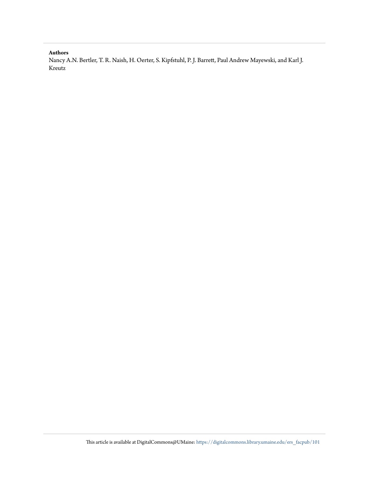## **Authors**

Nancy A.N. Bertler, T. R. Naish, H. Oerter, S. Kipfstuhl, P. J. Barrett, Paul Andrew Mayewski, and Karl J. Kreutz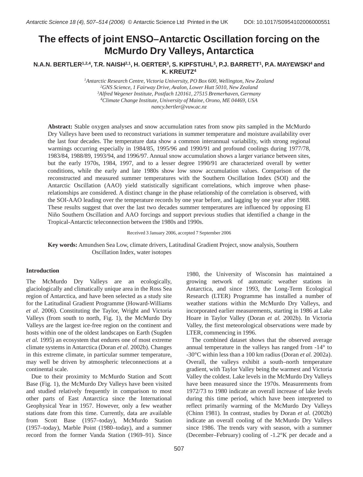# **The effects of joint ENSO–Antarctic Oscillation forcing on the McMurdo Dry Valleys, Antarctica**

## **N.A.N. BERTLER1,2,4, T.R. NAISH2,1, H. OERTER3, S. KIPFSTUHL3, P.J. BARRETT1, P.A. MAYEWSKI4 and K. KREUTZ4**

 *Antarctic Research Centre, Victoria University, PO Box 600, Wellington, New Zealand GNS Science, 1 Fairway Drive, Avalon, Lower Hutt 5010, New Zealand Alfred Wegener Institute, Postfach 120161, 27515 Bremerhaven, Germany Climate Change Institute, University of Maine, Orono, ME 04469, USA nancy.bertler@vuw.ac.nz*

**Abstract:** Stable oxygen analyses and snow accumulation rates from snow pits sampled in the McMurdo Dry Valleys have been used to reconstruct variations in summer temperature and moisture availability over the last four decades. The temperature data show a common interannual variability, with strong regional warmings occurring especially in 1984/85, 1995/96 and 1990/91 and profound coolings during 1977/78, 1983/84, 1988/89, 1993/94, and 1996/97. Annual snow accumulation shows a larger variance between sites, but the early 1970s, 1984, 1997, and to a lesser degree 1990/91 are characterized overall by wetter conditions, while the early and late 1980s show low snow accumulation values. Comparison of the reconstructed and measured summer temperatures with the Southern Oscillation Index (SOI) and the Antarctic Oscillation (AAO) yield statistically significant correlations, which improve when phaserelationships are considered. A distinct change in the phase relationship of the correlation is observed, with the SOI-AAO leading over the temperature records by one year before, and lagging by one year after 1988. These results suggest that over the last two decades summer temperatures are influenced by opposing El Niño Southern Oscillation and AAO forcings and support previous studies that identified a change in the Tropical-Antarctic teleconnection between the 1980s and 1990s.

Received 3 January 2006, accepted 7 September 2006

**Key words:** Amundsen Sea Low, climate drivers, Latitudinal Gradient Project, snow analysis, Southern Oscillation Index, water isotopes

#### **Introduction**

The McMurdo Dry Valleys are an ecologically, glaciologically and climatically unique area in the Ross Sea region of Antarctica, and have been selected as a study site for the Latitudinal Gradient Programme (Howard-Williams *et al*. 2006). Constituting the Taylor, Wright and Victoria Valleys (from south to north, Fig. 1), the McMurdo Dry Valleys are the largest ice-free region on the continent and hosts within one of the oldest landscapes on Earth (Sugden *et al.* 1995) an ecosystem that endures one of most extreme climate systems in Antarctica (Doran *et al.* 2002b). Changes in this extreme climate, in particular summer temperature, may well be driven by atmospheric teleconnections at a continental scale.

Due to their proximity to McMurdo Station and Scott Base (Fig. 1), the McMurdo Dry Valleys have been visited and studied relatively frequently in comparison to most other parts of East Antarctica since the International Geophysical Year in 1957. However, only a few weather stations date from this time. Currently, data are available from Scott Base (1957–today), McMurdo Station (1957–today), Marble Point (1980–today), and a summer record from the former Vanda Station (1969–91). Since

1980, the University of Wisconsin has maintained a growing network of automatic weather stations in Antarctica, and since 1993, the Long-Term Ecological Research (LTER) Programme has installed a number of weather stations within the McMurdo Dry Valleys, and incorporated earlier measurements, starting in 1986 at Lake Hoare in Taylor Valley (Doran *et al.* 2002b). In Victoria Valley, the first meteorological observations were made by LTER, commencing in 1996.

The combined dataset shows that the observed average annual temperature in the valleys has ranged from -14° to -30°C within less than a 100 km radius (Doran *et al.* 2002a). Overall, the valleys exhibit a south–north temperature gradient, with Taylor Valley being the warmest and Victoria Valley the coldest. Lake levels in the McMurdo Dry Valleys have been measured since the 1970s. Measurements from 1972/73 to 1980 indicate an overall increase of lake levels during this time period, which have been interpreted to reflect primarily warming of the McMurdo Dry Valleys (Chinn 1981). In contrast, studies by Doran *et al.* (2002b) indicate an overall cooling of the McMurdo Dry Valleys since 1986. The trends vary with season, with a summer (December–February) cooling of -1.2°K per decade and a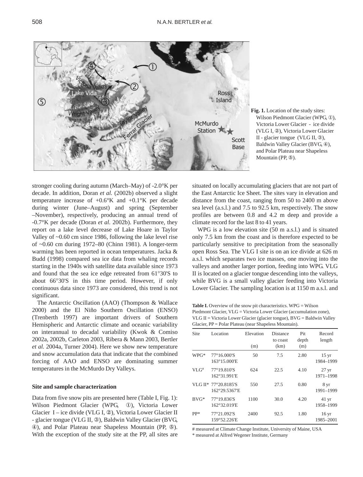

**Fig. 1.** Location of the study sites: Wilson Piedmont Glacier (WPG, 1), Victoria Lower Glacier - ice divide (VLG I, 2), Victoria Lower Glacier II - glacier tongue (VLG II, Ð), Baldwin Valley Glacier (BVG, 4), and Polar Plateau near Shapeless Mountain (PP, 5).

stronger cooling during autumn (March–May) of -2.0°K per decade. In addition, Doran *et al.* (2002b) observed a slight temperature increase of  $+0.6\textdegree K$  and  $+0.1\textdegree K$  per decade during winter (June–August) and spring (September –November), respectively, producing an annual trend of -0.7°K per decade (Doran *et al.* 2002b). Furthermore, they report on a lake level decrease of Lake Hoare in Taylor Valley of ~0.60 cm since 1986, following the lake level rise of ~0.60 cm during 1972–80 (Chinn 1981). A longer-term warming has been reported in ocean temperatures. Jacka & Budd (1998) compared sea ice data from whaling records starting in the 1940s with satellite data available since 1973 and found that the sea ice edge retreated from 61°30'S to about 66°30'S in this time period. However, if only continuous data since 1973 are considered, this trend is not significant.

The Antarctic Oscillation (AAO) (Thompson & Wallace 2000) and the El Niño Southern Oscillation (ENSO) (Trenberth 1997) are important drivers of Southern Hemispheric and Antarctic climate and oceanic variability on interannual to decadal variability (Kwok & Comiso 2002a, 2002b, Carleton 2003, Ribera & Mann 2003, Bertler *et al.* 2004a, Turner 2004). Here we show new temperature and snow accumulation data that indicate that the combined forcing of AAO and ENSO are dominating summer temperatures in the McMurdo Dry Valleys.

#### **Site and sample characterization**

Data from five snow pits are presented here (Table I, Fig. 1): Wilson Piedmont Glacier (WPG, 10), Victoria Lower Glacier I – ice divide (VLG I, 2), Victoria Lower Glacier II - glacier tongue (VLG II, Ð), Baldwin Valley Glacier (BVG, Ñ), and Polar Plateau near Shapeless Mountain (PP, Ò). With the exception of the study site at the PP, all sites are situated on locally accumulating glaciers that are not part of the East Antarctic Ice Sheet. The sites vary in elevation and distance from the coast, ranging from 50 to 2400 m above sea level (a.s.l.) and 7.5 to 92.5 km, respectively. The snow profiles are between 0.8 and 4.2 m deep and provide a climate record for the last 8 to 41 years.

WPG is a low elevation site (50 m a.s.l.) and is situated only 7.5 km from the coast and is therefore expected to be particularly sensitive to precipitation from the seasonally open Ross Sea. The VLG I site is on an ice divide at 626 m a.s.l. which separates two ice masses, one moving into the valleys and another larger portion, feeding into WPG. VLG II is located on a glacier tongue descending into the valleys, while BVG is a small valley glacier feeding into Victoria Lower Glacier. The sampling location is at 1150 m a.s.l. and

Table I. Overview of the snow pit characteristics. WPG = Wilson Piedmont Glacier, VLG = Victoria Lower Glacier (accumulation zone), VLG II = Victoria Lower Glacier (glacier tongue), BVG = Baldwin Valley Glacier, PP = Polar Plateau (near Shapeless Mountain).

| Site    | Location                              | Elevation | Distance<br>to coast | Pit<br>depth | Record<br>length                |
|---------|---------------------------------------|-----------|----------------------|--------------|---------------------------------|
|         |                                       | (m)       | (km)                 | (m)          |                                 |
| WPG*    | 77°16.000'S<br>163°15.000'E           | 50        | 7.5                  | 2.80         | $15 \,\mathrm{yr}$<br>1984-1999 |
| $VLG^*$ | 77°19.810'S<br>162°31.991'E           | 624       | 22.5                 | 4.10         | $27 \text{ yr}$<br>1971-1998    |
|         | VLG II* 77°20.8185'S<br>162°29.5367'E | 550       | 27.5                 | 0.80         | 8 yr<br>1991-1999               |
| $BVG^*$ | 77°19.836'S<br>162°32.019'E           | 1100      | 30.0                 | 4.20         | $41 \,\text{yr}$<br>1958-1999   |
| $PP*$   | 77°21.092'S<br>159°52.226'E           | 2400      | 92.5                 | 1.80         | $16 \,\mathrm{yr}$<br>1985-2001 |

# measured at Climate Change Institute, University of Maine, USA

\* measured at Alfred Wegener Institute, Germany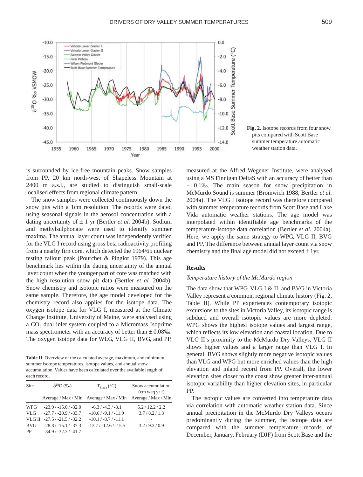

**Fig. 2.** Isotope records from four snow pits compared with Scott Base summer temperature automatic weather station data.

is surrounded by ice-free mountain peaks. Snow samples from PP, 20 km north-west of Shapeless Mountain at 2400 m a.s.l., are studied to distinguish small-scale localised effects from regional climate pattern.

The snow samples were collected continuously down the snow pits with a 1cm resolution. The records were dated using seasonal signals in the aerosol concentration with a dating uncertainty of ± 1 yr (Bertler *et al.* 2004b). Sodium and methylsulphonate were used to identify summer maxima. The annual layer count was independently verified for the VLG I record using gross beta radioactivity profiling from a nearby firn core, which detected the 1964/65 nuclear testing fallout peak (Pourchet & Pinglot 1979). This age benchmark lies within the dating uncertainty of the annual layer count when the younger part of core was matched with the high resolution snow pit data (Bertler *et al.* 2004b). Snow chemistry and isotopic ratios were measured on the same sample. Therefore, the age model developed for the chemistry record also applies for the isotope data. The oxygen isotope data for VLG I, measured at the Climate Change Institute, University of Maine, were analysed using a CO<sub>2</sub> dual inlet system coupled to a Micromass Isoprime mass spectrometer with an accuracy of better than  $\pm$  0.08‰. The oxygen isotope data for WLG, VLG II, BVG, and PP,

Table II. Overview of the calculated average, maximum, and minimum summer isotope temperatures, isotope values, and annual snow accumulation. Values have been calculated over the available length of each record.

| Site       | $\delta^{18}O$ (‰)           | $T_{\delta 180}$ (°C)                   | Snow accumulation<br>$(cm$ weg yr <sup>-1</sup> ) |
|------------|------------------------------|-----------------------------------------|---------------------------------------------------|
|            |                              | Average / Max / Min Average / Max / Min | Average / Max / Min                               |
| <b>WPG</b> | $-23.9/ -15.0/ -32.0$        | $-6.3/ -4.3/ -8.1$                      | 5.2/12.2/2.2                                      |
| VLG.       | $-27.7/ -20.9/ -33.7$        | $-10.6/ -9.1/ -11.9$                    | 3.7/8.2/1.3                                       |
|            | VLG II $-27.5/ -21.5/ -32.2$ | $-10.1 / -8.7 / -11.1$                  |                                                   |
| <b>BVG</b> | $-28.8/ -15.1/ -37.3$        | $-13.7/ -12.6/ -15.5$                   | 3.2/9.3/0.9                                       |
| <b>PP</b>  | $-34.9/ -32.3/ -41.7$        |                                         |                                                   |

measured at the Alfred Wegener Institute, were analysed using a MS Finnigan DeltaS with an accuracy of better than ± 0.1‰. The main season for snow precipitation in McMurdo Sound is summer (Bromwich 1988, Bertler *et al.* 2004a). The VLG I isotope record was therefore compared with summer temperature records from Scott Base and Lake Vida automatic weather stations. The age model was interpolated within identifiable age benchmarks of the temperature-isotope data correlation (Bertler *et al.* 2004a). Here, we apply the same strategy to WPG, VLG II, BVG and PP. The difference between annual layer count via snow chemistry and the final age model did not exceed  $\pm 1$ yr.

#### **Results**

#### *Temperature history of the McMurdo region*

The data show that WPG, VLG I & II, and BVG in Victoria Valley represent a common, regional climate history (Fig. 2, Table II). While PP experiences contemporary isotopic excursions to the sites in Victoria Valley, its isotopic range is subdued and overall isotopic values are more depleted. WPG shows the highest isotope values and largest range, which reflects its low elevation and coastal location. Due to VLG II's proximity to the McMurdo Dry Valleys, VLG II shows higher values and a larger range than VLG I. In general, BVG shows slightly more negative isotopic values than VLG and WPG but more enriched values than the high elevation and inland record from PP. Overall, the lower elevation sites closer to the coast show greater inter-annual isotopic variability than higher elevation sites, in particular PP.

The isotopic values are converted into temperature data via correlation with automatic weather station data. Since annual precipitation in the McMurdo Dry Valleys occurs predominantly during the summer, the isotope data are compared with the summer temperature records of December, January, February (DJF) from Scott Base and the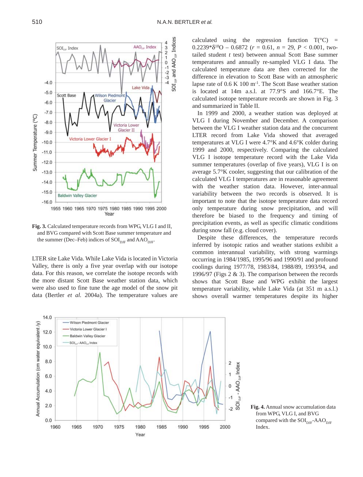

**Fig. 3.** Calculated temperature records from WPG, VLG I and II, and BVG compared with Scott Base summer temperature and the summer (Dec–Feb) indices of  $SOI_{\text{DIF}}$  and  $\text{AAO}_{\text{DIF}}$ .

LTER site Lake Vida. While Lake Vida is located in Victoria Valley, there is only a five year overlap with our isotope data. For this reason, we correlate the isotope records with the more distant Scott Base weather station data, which were also used to fine tune the age model of the snow pit data (Bertler *et al.* 2004a). The temperature values are

calculated using the regression function  $T(^{\circ}C)$  =  $0.2239*\delta^{18}O - 0.6872$  ( $r = 0.61$ ,  $n = 29$ ,  $P < 0.001$ , twotailed student *t* test) between annual Scott Base summer temperatures and annually re-sampled VLG I data. The calculated temperature data are then corrected for the difference in elevation to Scott Base with an atmospheric lapse rate of  $0.6 \text{ K } 100 \text{ m}^{-1}$ . The Scott Base weather station is located at 14m a.s.l. at 77.9°S and 166.7°E. The calculated isotope temperature records are shown in Fig. 3 and summarized in Table II.

In 1999 and 2000, a weather station was deployed at VLG I during November and December. A comparison between the VLG I weather station data and the concurrent LTER record from Lake Vida showed that averaged temperatures at VLG I were 4.7°K and 4.6°K colder during 1999 and 2000, respectively. Comparing the calculated VLG I isotope temperature record with the Lake Vida summer temperatures (overlap of five years), VLG I is on average 5.7°K cooler, suggesting that our calibration of the calculated VLG I temperatures are in reasonable agreement with the weather station data. However, inter-annual variability between the two records is observed. It is important to note that the isotope temperature data record only temperature during snow precipitation, and will therefore be biased to the frequency and timing of precipitation events, as well as specific climatic conditions during snow fall (e.g. cloud cover).

Despite these differences, the temperature records inferred by isotopic ratios and weather stations exhibit a common interannual variability, with strong warmings occurring in 1984/1985, 1995/96 and 1990/91 and profound coolings during 1977/78, 1983/84, 1988/89, 1993/94, and 1996/97 (Figs 2 & 3). The comparison between the records shows that Scott Base and WPG exhibit the largest temperature variability, while Lake Vida (at 351 m a.s.l.) shows overall warmer temperatures despite its higher



**Fig. 4.** Annual snow accumulation data from WPG, VLG I, and BVG compared with the  $SOI<sub>DIF</sub>-AAO<sub>DIF</sub>$ Index.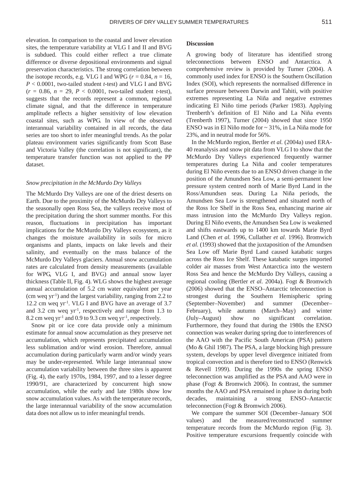elevation. In comparison to the coastal and lower elevation sites, the temperature variability at VLG I and II and BVG is subdued. This could either reflect a true climate difference or diverse depositional environments and signal preservation characteristics. The strong correlation between the isotope records, e.g. VLG I and WPG ( $r = 0.84$ ,  $n = 16$ , *P* < 0.0001, two-tailed student *t*-test) and VLG I and BVG  $(r = 0.86, n = 29, P < 0.0001,$  two-tailed student *t*-test), suggests that the records represent a common, regional climate signal, and that the difference in temperature amplitude reflects a higher sensitivity of low elevation coastal sites, such as WPG. In view of the observed interannual variability contained in all records, the data series are too short to infer meaningful trends. As the polar plateau environment varies significantly from Scott Base and Victoria Valley (the correlation is not significant), the temperature transfer function was not applied to the PP dataset.

#### *Snow precipitation in the McMurdo Dry Valleys*

The McMurdo Dry Valleys are one of the driest deserts on Earth. Due to the proximity of the McMurdo Dry Valleys to the seasonally open Ross Sea, the valleys receive most of the precipitation during the short summer months. For this reason, fluctuations in precipitation has important implications for the McMurdo Dry Valleys ecosystem, as it changes the moisture availability in soils for micro organisms and plants, impacts on lake levels and their salinity, and eventually on the mass balance of the McMurdo Dry Valleys glaciers. Annual snow accumulation rates are calculated from density measurements (available for WPG, VLG I, and BVG) and annual snow layer thickness (Table II, Fig. 4). WLG shows the highest average annual accumulation of 5.2 cm water equivalent per year (cm weq yr-1) and the largest variability, ranging from 2.2 to 12.2 cm weq yr-1. VLG I and BVG have an average of 3.7 and 3.2 cm weq  $yr^{-1}$ , respectively and range from 1.3 to 8.2 cm weq yr<sup>-1</sup> and 0.9 to 9.3 cm weq yr<sup>-1</sup>, respectively.

Snow pit or ice core data provide only a minimum estimate for annual snow accumulation as they preserve net accumulation, which represents precipitated accumulation less sublimation and/or wind erosion. Therefore, annual accumulation during particularly warm and/or windy years may be under-represented. While large interannual snow accumulation variability between the three sites is apparent (Fig. 4), the early 1970s, 1984, 1997, and to a lesser degree 1990/91, are characterized by concurrent high snow accumulation, while the early and late 1980s show low snow accumulation values. As with the temperature records, the large interannual variability of the snow accumulation data does not allow us to infer meaningful trends.

#### **Discussion**

A growing body of literature has identified strong teleconnections between ENSO and Antarctica. A comprehensive review is provided by Turner (2004). A commonly used index for ENSO is the Southern Oscillation Index (SOI), which represents the normalised difference in surface pressure between Darwin and Tahiti, with positive extremes representing La Niña and negative extremes indicating El Niño time periods (Parker 1983). Applying Trenberth's definition of El Niño and La Niña events (Trenberth 1997), Turner (2004) showed that since 1950 ENSO was in El Niño mode for ~ 31%, in La Niña mode for 23%, and in neutral mode for 56%.

In the McMurdo region, Bertler *et al.* (2004a) used ERA-40 reanalysis and snow pit data from VLG I to show that the McMurdo Dry Valleys experienced frequently warmer temperatures during La Niña and cooler temperatures during El Niño events due to an ENSO driven change in the position of the Amundsen Sea Low, a semi-permanent low pressure system centred north of Marie Byrd Land in the Ross/Amundsen seas. During La Niña periods, the Amundsen Sea Low is strengthened and situated north of the Ross Ice Shelf in the Ross Sea, enhancing marine air mass intrusion into the McMurdo Dry Valleys region. During El Niño events, the Amundsen Sea Low is weakened and shifts eastwards up to 1400 km towards Marie Byrd Land (Chen *et al.* 1996, Cullather *et al.* 1996). Bromwich *et al.* (1993) showed that the juxtaposition of the Amundsen Sea Low off Marie Byrd Land caused katabatic surges across the Ross Ice Shelf. These katabatic surges imported colder air masses from West Antarctica into the western Ross Sea and hence the McMurdo Dry Valleys, causing a regional cooling (Bertler *et al.* 2004a). Fogt & Bromwich (2006) showed that the ENSO–Antarctic teleconnection is strongest during the Southern Hemispheric spring (September–November) and summer (December– February), while autumn (March–May) and winter (July–August) show no significant correlation. Furthermore, they found that during the 1980s the ENSO connection was weaker during spring due to interferences of the AAO with the Pacific South American (PSA) pattern (Mo & Ghil 1987). The PSA, a large blocking high pressure system, develops by upper level divergence initiated from tropical convection and is therefore tied to ENSO (Renwick & Revell 1999). During the 1990s the spring ENSO teleconnection was amplified as the PSA and AAO were in phase (Fogt & Bromwich 2006). In contrast, the summer months the AAO and PSA remained in phase in during both decades, maintaining a strong ENSO–Antarctic teleconnection (Fogt & Bromwich 2006).

We compare the summer SOI (December–January SOI values) and the measured/reconstructed summer temperature records from the McMurdo region (Fig. 3). Positive temperature excursions frequently coincide with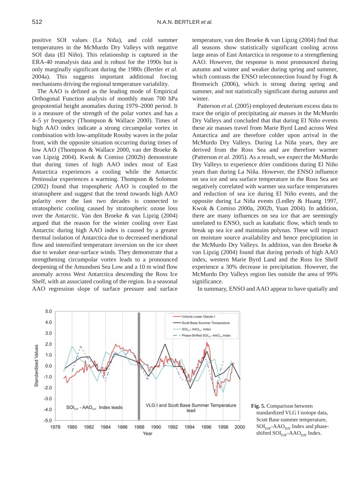positive SOI values (La Niña), and cold summer temperatures in the McMurdo Dry Valleys with negative SOI data (El Niño). This relationship is captured in the ERA-40 reanalysis data and is robust for the 1990s but is only marginally significant during the 1980s (Bertler *et al.* 2004a). This suggests important additional forcing mechanisms driving the regional temperature variability.

The AAO is defined as the leading mode of Empirical Orthogonal Function analysis of monthly mean 700 hPa geopotential height anomalies during 1979–2000 period. It is a measure of the strength of the polar vortex and has a 4–5 yr frequency (Thompson & Wallace 2000). Times of high AAO index indicate a strong circumpolar vortex in combination with low-amplitude Rossby waves in the polar front, with the opposite situation occurring during times of low AAO (Thompson & Wallace 2000, van der Broeke & van Lipzig 2004). Kwok & Comiso (2002b) demonstrate that during times of high AAO index most of East Antarctica experiences a cooling while the Antarctic Peninsular experiences a warming. Thompson & Solomon (2002) found that tropospheric AAO is coupled to the stratosphere and suggest that the trend towards high AAO polarity over the last two decades is connected to stratospheric cooling caused by stratospheric ozone loss over the Antarctic. Van den Broeke & van Lipzig (2004) argued that the reason for the winter cooling over East Antarctic during high AAO index is caused by a greater thermal isolation of Antarctica due to decreased meridional flow and intensified temperature inversion on the ice sheet due to weaker near-surface winds. They demonstrate that a strengthening circumpolar vortex leads to a pronounced deepening of the Amundsen Sea Low and a 10 m wind flow anomaly across West Antarctica descending the Ross Ice Shelf, with an associated cooling of the region. In a seasonal AAO regression slope of surface pressure and surface

temperature, van den Broeke & van Lipzig (2004) find that all seasons show statistically significant cooling across large areas of East Antarctica in response to a strengthening AAO. However, the response is most pronounced during autumn and winter and weaker during spring and summer, which contrasts the ENSO teleconnection found by Fogt & Bromwich (2006), which is strong during spring and summer, and not statistically significant during autumn and winter.

Patterson *et al.* (2005) employed deuterium excess data to trace the origin of precipitating air masses in the McMurdo Dry Valleys and concluded that that during El Niño events these air masses travel from Marie Byrd Land across West Antarctica and are therefore colder upon arrival in the McMurdo Dry Valleys. During La Niña years, they are derived from the Ross Sea and are therefore warmer (Patterson *et al.* 2005). As a result, we expect the McMurdo Dry Valleys to experience drier conditions during El Niño years than during La Niña. However, the ENSO influence on sea ice and sea surface temperature in the Ross Sea are negatively correlated with warmer sea surface temperatures and reduction of sea ice during El Niño events, and the opposite during La Niña events (Ledley & Huang 1997, Kwok & Comiso 2000a, 2002b, Yuan 2004). In addition, there are many influences on sea ice that are seemingly unrelated to ENSO, such as katabatic flow, which tends to break up sea ice and maintains polynas. These will impact on moisture source availability and hence precipitation in the McMurdo Dry Valleys. In addition, van den Broeke & van Lipzig (2004) found that during periods of high AAO index, western Marie Byrd Land and the Ross Ice Shelf experience a 30% decrease in precipitation. However, the McMurdo Dry Valleys region lies outside the area of 99% significance.



In summary, ENSO and AAO appear to have spatially and

**Fig. 5.** Comparison between standardized VLG I isotope data, Scott Base summer temperature,  $\text{SOI}_{\text{DIF}}$ -AAO<sub>DJF</sub> Index and phaseshifted  $SOI_{\text{DIF}}-AAO_{\text{DIF}}$  Index.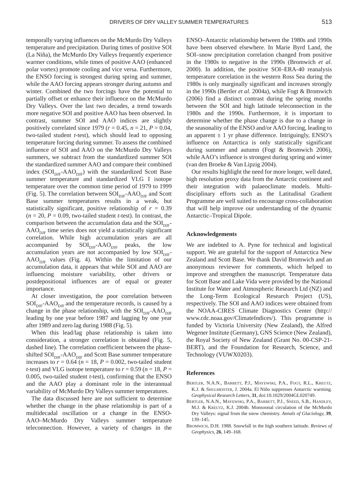temporally varying influences on the McMurdo Dry Valleys temperature and precipitation. During times of positive SOI (La Niña), the McMurdo Dry Valleys frequently experience warmer conditions, while times of positive AAO (enhanced polar vortex) promote cooling and vice versa. Furthermore, the ENSO forcing is strongest during spring and summer, while the AAO forcing appears stronger during autumn and winter. Combined the two forcings have the potential to partially offset or enhance their influence on the McMurdo Dry Valleys. Over the last two decades, a trend towards more negative SOI and positive AAO has been observed. In contrast, summer SOI and AAO indices are slightly positively correlated since 1979 ( $r = 0.45$ ,  $n = 21$ ,  $P = 0.04$ , two-tailed student *t*-test), which should lead to opposing temperature forcing during summer. To assess the combined influence of SOI and AAO on the McMurdo Dry Valleys summers, we subtract from the standardized summer SOI the standardized summer AAO and compare their combined index  $(SOI_{\text{DIF}}-AAO_{\text{DIF}})$  with the standardized Scott Base summer temperature and standardized VLG I isotope temperature over the common time period of 1979 to 1999 (Fig. 5). The correlation between  $SOI_{\text{DF}}-AAO_{\text{DF}}$  and Scott Base summer temperatures results in a weak, but statistically significant, positive relationship of  $r = 0.39$  $(n = 20, P = 0.09,$  two-tailed student *t*-test). In contrast, the comparison between the accumulation data and the  $SOI_{\text{DE}}$ - $\text{AAO}_{\text{DIF}}$  time series does not yield a statistically significant correlation. While high accumulation years are all accompanied by  $SOI_{\text{DIF}}-AAO_{\text{DIF}}$  peaks, the low accumulation years are not accompanied by low  $SOI_{\text{DIF}}$ - $AAO<sub>DIF</sub>$  values (Fig. 4). Within the limitation of our accumulation data, it appears that while SOI and AAO are influencing moisture variability, other drivers or postdepositional influences are of equal or greater importance.

At closer investigation, the poor correlation between  $\text{SOI}_{\text{DIF}}$ -AAO<sub>DIF</sub> and the temperature records, is caused by a change in the phase relationship, with the  $SOI_{\text{DIF}}-AAO_{\text{DIF}}$ leading by one year before 1987 and lagging by one year after 1989 and zero lag during 1988 (Fig. 5).

When this lead/lag phase relationship is taken into consideration, a stronger correlation is obtained (Fig. 5, dashed line). The correlation coefficient between the phaseshifted  $SOI_{\text{DIF}}-AAO_{\text{DIF}}$  and Scott Base summer temperature increases to  $r = 0.64$  ( $n = 18$ ,  $P = 0.002$ , two-tailed student *t*-test) and VLG isotope temperature to  $r = 0.59$  ( $n = 18$ ,  $P =$ 0.005, two-tailed student *t*-test), confirming that the ENSO and the AAO play a dominant role in the interannual variability of McMurdo Dry Valleys summer temperatures.

The data discussed here are not sufficient to determine whether the change in the phase relationship is part of a multidecadal oscillation or a change in the ENSO-AAO–McMurdo Dry Valleys summer temperature teleconnection. However, a variety of changes in the ENSO–Antarctic relationship between the 1980s and 1990s have been observed elsewhere. In Marie Byrd Land, the SOI–snow precipitation correlation changed from positive in the 1980s to negative in the 1990s (Bromwich *et al.* 2000). In addition, the positive SOI–ERA-40 reanalysis temperature correlation in the western Ross Sea during the 1980s is only marginally significant and increases strongly in the 1990s (Bertler *et al.* 2004a), while Fogt & Bromwich (2006) find a distinct contrast during the spring months between the SOI and high latitude teleconnection in the 1980s and the 1990s. Furthermore, it is important to determine whether the phase change is due to a change in the seasonality of the ENSO and/or AAO forcing, leading to an apparent  $\pm$  1 yr phase difference. Intriguingly, ENSO's influence on Antarctica is only statistically significant during summer and autumn (Fogt & Bromwich 2006), while AAO's influence is strongest during spring and winter (van den Broeke & Van Lipzig 2004).

Our results highlight the need for more longer, well dated, high resolution proxy data from the Antarctic continent and their integration with palaeoclimate models. Multidisciplinary efforts such as the Latitudinal Gradient Programme are well suited to encourage cross-collaboration that will help improve our understanding of the dynamic Antarctic–Tropical Dipole.

#### **Acknowledgements**

We are indebted to A. Pyne for technical and logistical support. We are grateful for the support of Antarctica New Zealand and Scott Base. We thank David Bromwich and an anonymous reviewer for comments, which helped to improve and strengthen the manuscript. Temperature data for Scott Base and Lake Vida were provided by the National Institute for Water and Atmospheric Research Ltd (NZ) and the Long-Term Ecological Research Project (US), respectively. The SOI and AAO indices were obtained from the NOAA-CIRES Climate Diagnostics Center (http:// www.cdc.noaa.gov/ClimateIndices/). This programme is funded by Victoria University (New Zealand), the Alfred Wegener Institute (Germany), GNS Science (New Zealand), the Royal Society of New Zealand (Grant No. 00-CSP-21- BERT), and the Foundation for Research, Science, and Technology (VUWX0203).

#### **References**

- BERTLER, N.A.N., BARRETT, P.J., MAYEWSKI, P.A., FOGT, R.L., KREUTZ, K.J. & SHULMEISTER, J. 2004a. El Niño suppresses Antarctic warming. *Geophysical Research Letters,* **31**, doi:10.1029/2004GL020749.
- BERTLER, N.A.N., MAYEWSKI, P.A., BARRETT, P.J., SNEED, S.B., HANDLEY, M.J. & KREUTZ, K.J. 2004b. Monsoonal circulation of the McMurdo Dry Valleys: signal from the snow chemistry. *Annals of Glaciology,* **39**, 139–145.
- BROMWICH, D.H. 1988. Snowfall in the high southern latitude. *Reviews of Geophysics,* **26**, 149–168.